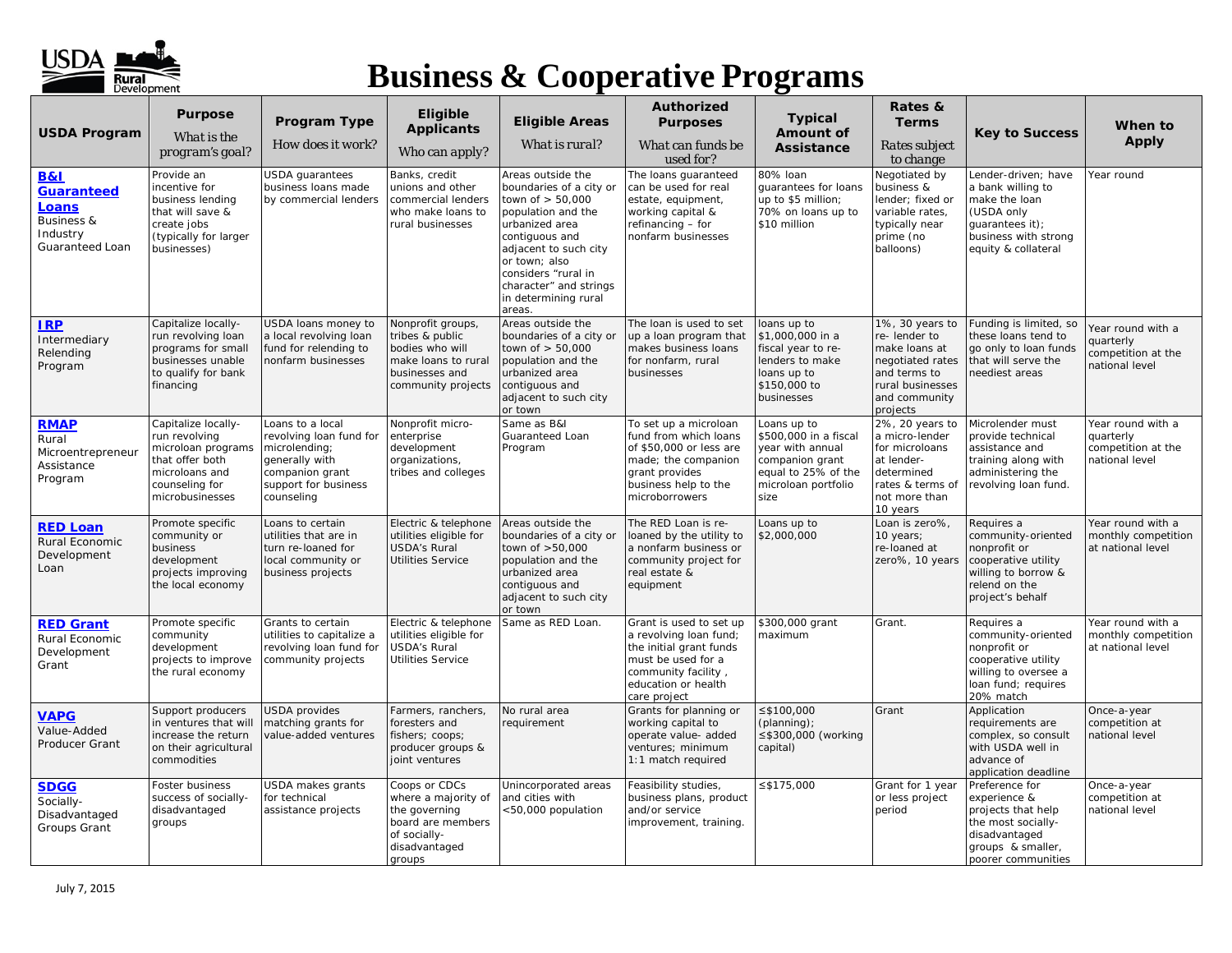

| <b>USDA Program</b>                                                            | <b>Purpose</b>                                                                                                                       | Program Type                                                                                                                            | Eligible<br><b>Applicants</b>                                                                                          | <b>Eligible Areas</b>                                                                                                                                                                                                                                   | <b>Authorized</b><br><b>Purposes</b>                                                                                                                             | <b>Typical</b><br>Amount of                                                                                                       | Rates &<br><b>Terms</b>                                                                                                               | <b>Key to Success</b>                                                                                                                     | When to<br><b>Apply</b>                                                |
|--------------------------------------------------------------------------------|--------------------------------------------------------------------------------------------------------------------------------------|-----------------------------------------------------------------------------------------------------------------------------------------|------------------------------------------------------------------------------------------------------------------------|---------------------------------------------------------------------------------------------------------------------------------------------------------------------------------------------------------------------------------------------------------|------------------------------------------------------------------------------------------------------------------------------------------------------------------|-----------------------------------------------------------------------------------------------------------------------------------|---------------------------------------------------------------------------------------------------------------------------------------|-------------------------------------------------------------------------------------------------------------------------------------------|------------------------------------------------------------------------|
|                                                                                | What is the<br>program's goal?                                                                                                       | How does it work?                                                                                                                       | Who can apply?                                                                                                         | What is rural?                                                                                                                                                                                                                                          | What can funds be<br>used for?                                                                                                                                   | <b>Assistance</b>                                                                                                                 | Rates subject<br>to change                                                                                                            |                                                                                                                                           |                                                                        |
| B&I<br>Guaranteed<br><b>Loans</b><br>Business &<br>Industry<br>Guaranteed Loan | Provide an<br>incentive for<br>business lending<br>that will save &<br>create jobs<br>(typically for larger<br>businesses)           | USDA guarantees<br>business loans made<br>by commercial lenders                                                                         | Banks, credit<br>unions and other<br>commercial lenders<br>who make loans to<br>rural businesses                       | Areas outside the<br>boundaries of a city or<br>town of > 50,000<br>population and the<br>urbanized area<br>contiguous and<br>adjacent to such city<br>or town; also<br>considers "rural in<br>character" and strings<br>in determining rural<br>areas. | The loans guaranteed<br>can be used for real<br>estate, equipment,<br>working capital &<br>refinancing - for<br>nonfarm businesses                               | 80% Ioan<br>guarantees for loans<br>up to \$5 million;<br>70% on loans up to<br>\$10 million                                      | Negotiated by<br>business &<br>lender; fixed or<br>variable rates,<br>typically near<br>prime (no<br>balloons)                        | Lender-driven; have<br>a bank willing to<br>make the loan<br>(USDA only<br>guarantees it);<br>business with strong<br>equity & collateral | Year round                                                             |
| <b>IRP</b><br>Intermediary<br>Relending<br>Program                             | Capitalize locally-<br>run revolving loan<br>programs for small<br>businesses unable<br>to qualify for bank<br>financing             | USDA loans money to<br>a local revolving loan<br>fund for relending to<br>nonfarm businesses                                            | Nonprofit groups,<br>tribes & public<br>bodies who will<br>make loans to rural<br>businesses and<br>community projects | Areas outside the<br>boundaries of a city or<br>town of > 50,000<br>population and the<br>urbanized area<br>contiguous and<br>adjacent to such city<br>or town                                                                                          | The loan is used to set<br>up a loan program that<br>makes business loans<br>for nonfarm, rural<br>businesses                                                    | loans up to<br>\$1,000,000 in a<br>fiscal year to re-<br>lenders to make<br>loans up to<br>\$150,000 to<br>businesses             | 1%, 30 years to<br>re-lender to<br>make loans at<br>negotiated rates<br>and terms to<br>rural businesses<br>and community<br>projects | Funding is limited, so<br>these loans tend to<br>go only to loan funds<br>that will serve the<br>neediest areas                           | Year round with a<br>quarterly<br>competition at the<br>ational level  |
| <b>RMAP</b><br>Rural<br>Microentrepreneur<br>Assistance<br>Program             | Capitalize locally-<br>run revolving<br>microloan programs<br>that offer both<br>microloans and<br>counseling for<br>microbusinesses | Loans to a local<br>revolving loan fund for<br>microlending;<br>generally with<br>companion grant<br>support for business<br>counseling | Nonprofit micro-<br>enterprise<br>development<br>organizations,<br>tribes and colleges                                 | Same as B&I<br>Guaranteed Loan<br>Program                                                                                                                                                                                                               | To set up a microloan<br>fund from which loans<br>of \$50,000 or less are<br>made; the companion<br>grant provides<br>business help to the<br>microborrowers     | Loans up to<br>\$500,000 in a fiscal<br>year with annual<br>companion grant<br>equal to 25% of the<br>microloan portfolio<br>size | 2%, 20 years to<br>a micro-lender<br>for microloans<br>at lender-<br>determined<br>rates & terms of<br>not more than<br>10 years      | Microlender must<br>provide technical<br>assistance and<br>training along with<br>administering the<br>revolving loan fund.               | Year round with a<br>quarterly<br>competition at the<br>national level |
| <b>RED Loan</b><br>Rural Economic<br>Development<br>Loan                       | Promote specific<br>community or<br>business<br>development<br>projects improving<br>the local economy                               | Loans to certain<br>utilities that are in<br>turn re-loaned for<br>local community or<br>business projects                              | Electric & telephone<br>utilities eligible for<br><b>USDA's Rural</b><br><b>Utilities Service</b>                      | Areas outside the<br>boundaries of a city or<br>town of >50,000<br>population and the<br>urbanized area<br>contiguous and<br>adjacent to such city<br>or town                                                                                           | The RED Loan is re-<br>loaned by the utility to<br>a nonfarm business or<br>community project for<br>real estate &<br>equipment                                  | Loans up to<br>\$2,000,000                                                                                                        | Loan is zero%,<br>10 years;<br>re-loaned at<br>zero%, 10 years                                                                        | Requires a<br>community-oriented<br>nonprofit or<br>cooperative utility<br>willing to borrow &<br>relend on the<br>project's behalf       | Year round with a<br>monthly competition<br>at national level          |
| <b>RED Grant</b><br>Rural Economic<br>Development<br>Grant                     | Promote specific<br>community<br>development<br>projects to improve<br>the rural economy                                             | Grants to certain<br>utilities to capitalize a<br>revolving loan fund for<br>community projects                                         | Electric & telephone<br>utilities eligible for<br><b>USDA's Rural</b><br><b>Utilities Service</b>                      | Same as RED Loan.                                                                                                                                                                                                                                       | Grant is used to set up<br>a revolving loan fund;<br>the initial grant funds<br>must be used for a<br>community facility,<br>education or health<br>care project | \$300,000 grant<br>maximum                                                                                                        | Grant.                                                                                                                                | Requires a<br>community-oriented<br>nonprofit or<br>cooperative utility<br>willing to oversee a<br>loan fund; requires<br>20% match       | Year round with a<br>monthly competition<br>at national level          |
| <b>VAPG</b><br>Value-Added<br>Producer Grant                                   | Support producers<br>in ventures that will<br>increase the return<br>on their agricultural<br>commodities                            | <b>USDA</b> provides<br>matching grants for<br>value-added ventures                                                                     | Farmers, ranchers,<br>foresters and<br>fishers; coops;<br>producer groups &<br>joint ventures                          | No rural area<br>requirement                                                                                                                                                                                                                            | Grants for planning or<br>working capital to<br>operate value- added<br>ventures; minimum<br>1:1 match required                                                  | $≤$ \$100,000<br>(planning);<br>≤\$300,000 (working<br>capital)                                                                   | Grant                                                                                                                                 | Application<br>requirements are<br>complex, so consult<br>with USDA well in<br>advance of<br>application deadline                         | Once-a-year<br>competition at<br>national level                        |
| <b>SDGG</b><br>Socially-<br>Disadvantaged<br>Groups Grant                      | Foster business<br>success of socially-<br>disadvantaged<br>groups                                                                   | USDA makes grants<br>for technical<br>assistance projects                                                                               | Coops or CDCs<br>where a majority of<br>the governing<br>board are members<br>of socially-<br>disadvantaged<br>groups  | Unincorporated areas<br>and cities with<br><50,000 population                                                                                                                                                                                           | Feasibility studies,<br>business plans, product<br>and/or service<br>improvement, training.                                                                      | ≤\$175,000                                                                                                                        | Grant for 1 year<br>or less project<br>period                                                                                         | Preference for<br>experience &<br>projects that help<br>the most socially-<br>disadvantaged<br>groups & smaller,<br>poorer communities    | Once-a-year<br>competition at<br>national level                        |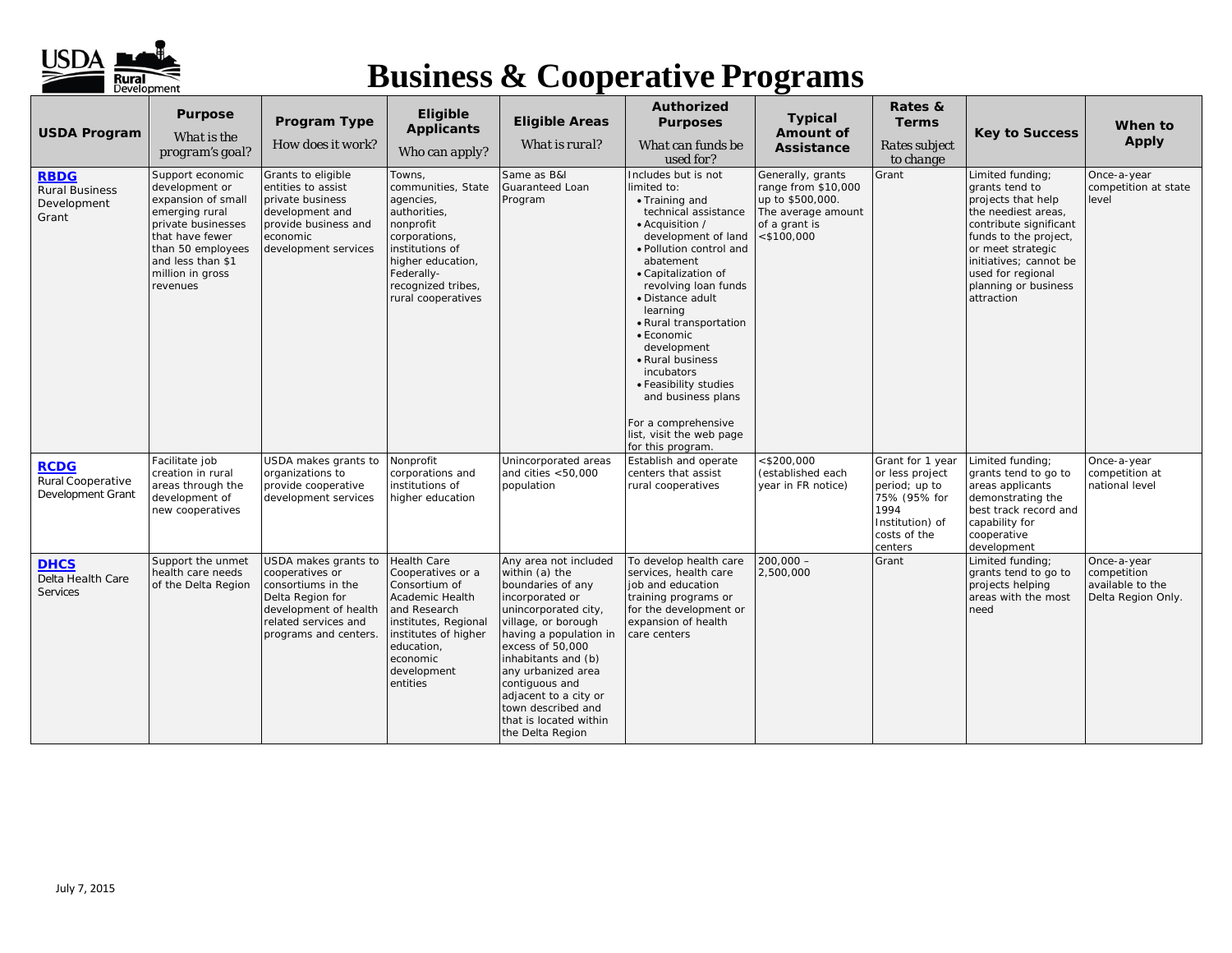

| <b>USDA Program</b><br><b>RBDG</b><br><b>Rural Business</b><br>Development<br>Grant | <b>Purpose</b><br>What is the<br>program's goal?<br>Support economic<br>development or<br>expansion of small<br>emerging rural<br>private businesses<br>that have fewer<br>than 50 employees<br>and less than \$1<br>million in gross<br>revenues | Program Type<br>How does it work?<br>Grants to eligible<br>entities to assist<br>private business<br>development and<br>provide business and<br>economic<br>development services | Eligible<br><b>Applicants</b><br>Who can apply?<br>Towns.<br>communities, State<br>agencies,<br>authorities,<br>nonprofit<br>corporations,<br>institutions of<br>higher education,<br>Federally-<br>recognized tribes,<br>rural cooperatives | <b>Eligible Areas</b><br>What is rural?<br>Same as B&I<br>Guaranteed Loan<br>Program                                                                                                                                                                                                                                                     | Authorized<br><b>Purposes</b><br>What can funds be<br>used for?<br>Includes but is not<br>limited to:<br>• Training and<br>technical assistance<br>• Acquisition /<br>development of land<br>· Pollution control and<br>abatement<br>• Capitalization of<br>revolving loan funds<br>· Distance adult<br>learning | <b>Typical</b><br>Amount of<br><b>Assistance</b><br>Generally, grants<br>range from \$10,000<br>up to \$500,000.<br>The average amount<br>of a grant is<br>$<$ \$100,000 | Rates &<br><b>Terms</b><br>Rates subject<br>to change<br>Grant                                                             | <b>Key to Success</b><br>Limited funding;<br>grants tend to<br>projects that help<br>the neediest areas,<br>contribute significant<br>funds to the project,<br>or meet strategic<br>initiatives; cannot be<br>used for regional<br>planning or business<br>attraction | When to<br><b>Apply</b><br>Once-a-year<br>competition at state<br>level |
|-------------------------------------------------------------------------------------|---------------------------------------------------------------------------------------------------------------------------------------------------------------------------------------------------------------------------------------------------|----------------------------------------------------------------------------------------------------------------------------------------------------------------------------------|----------------------------------------------------------------------------------------------------------------------------------------------------------------------------------------------------------------------------------------------|------------------------------------------------------------------------------------------------------------------------------------------------------------------------------------------------------------------------------------------------------------------------------------------------------------------------------------------|------------------------------------------------------------------------------------------------------------------------------------------------------------------------------------------------------------------------------------------------------------------------------------------------------------------|--------------------------------------------------------------------------------------------------------------------------------------------------------------------------|----------------------------------------------------------------------------------------------------------------------------|-----------------------------------------------------------------------------------------------------------------------------------------------------------------------------------------------------------------------------------------------------------------------|-------------------------------------------------------------------------|
|                                                                                     |                                                                                                                                                                                                                                                   |                                                                                                                                                                                  |                                                                                                                                                                                                                                              |                                                                                                                                                                                                                                                                                                                                          | · Rural transportation<br>• Economic<br>development<br>• Rural business<br>incubators<br>• Feasibility studies<br>and business plans<br>For a comprehensive<br>list, visit the web page<br>for this program.                                                                                                     |                                                                                                                                                                          |                                                                                                                            |                                                                                                                                                                                                                                                                       |                                                                         |
| <b>RCDG</b><br>Rural Cooperative<br>Development Grant                               | Facilitate job<br>creation in rural<br>areas through the<br>development of<br>new cooperatives                                                                                                                                                    | USDA makes grants to<br>organizations to<br>provide cooperative<br>development services                                                                                          | Nonprofit<br>corporations and<br>institutions of<br>higher education                                                                                                                                                                         | Unincorporated areas<br>and cities $<$ 50,000<br>population                                                                                                                                                                                                                                                                              | Establish and operate<br>centers that assist<br>rural cooperatives                                                                                                                                                                                                                                               | $<$ \$200,000<br>(established each<br>year in FR notice)                                                                                                                 | Grant for 1 year<br>or less project<br>period; up to<br>75% (95% for<br>1994<br>Institution) of<br>costs of the<br>centers | Limited funding;<br>grants tend to go to<br>areas applicants<br>demonstrating the<br>best track record and<br>capability for<br>cooperative<br>development                                                                                                            | Once-a-year<br>competition at<br>national level                         |
| <b>DHCS</b><br>Delta Health Care<br>Services                                        | Support the unmet<br>health care needs<br>of the Delta Region                                                                                                                                                                                     | USDA makes grants to<br>cooperatives or<br>consortiums in the<br>Delta Region for<br>development of health<br>related services and<br>programs and centers.                      | <b>Health Care</b><br>Cooperatives or a<br>Consortium of<br>Academic Health<br>and Research<br>institutes, Regional<br>institutes of higher<br>education,<br>economic<br>development<br>entities                                             | Any area not included<br>within (a) the<br>boundaries of any<br>incorporated or<br>unincorporated city,<br>village, or borough<br>having a population in<br>excess of 50,000<br>inhabitants and (b)<br>any urbanized area<br>contiguous and<br>adjacent to a city or<br>town described and<br>that is located within<br>the Delta Region | To develop health care<br>services, health care<br>job and education<br>training programs or<br>for the development or<br>expansion of health<br>care centers                                                                                                                                                    | $200,000 -$<br>2,500,000                                                                                                                                                 | Grant                                                                                                                      | Limited funding:<br>grants tend to go to<br>projects helping<br>areas with the most<br>need                                                                                                                                                                           | Once-a-year<br>competition<br>available to the<br>Delta Region Only.    |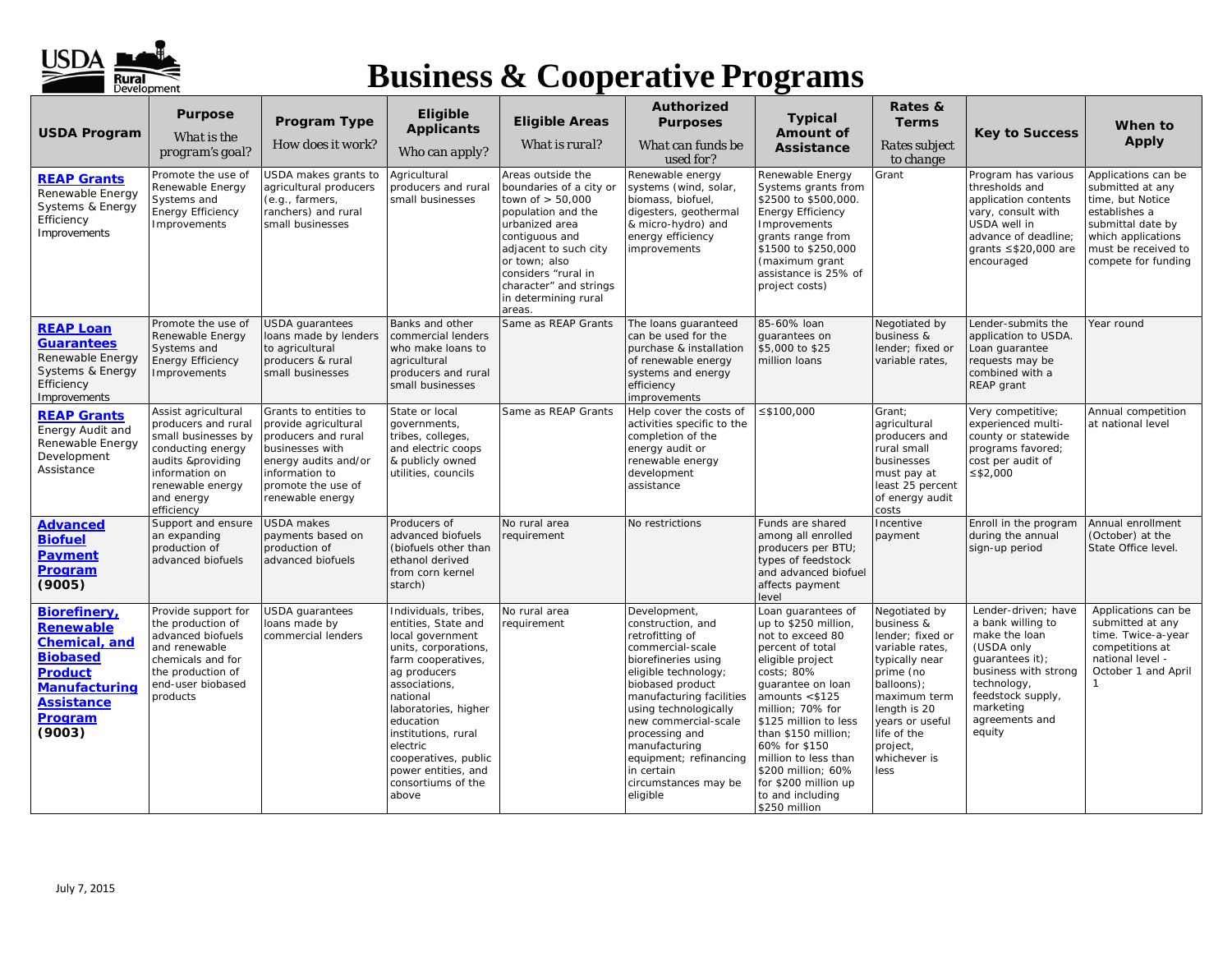

| <b>USDA Program</b>                                                                                                                                      | <b>Purpose</b><br>What is the<br>program's goal?                                                                                                                              | Program Type<br>How does it work?                                                                                                                                           | Eligible<br><b>Applicants</b><br>Who can apply?                                                                                                                                                                                                                                                                  | <b>Eligible Areas</b><br>What is rural?                                                                                                                                                                                                                   | Authorized<br><b>Purposes</b><br>What can funds be<br>used for?                                                                                                                                                                                                                                                                         | <b>Typical</b><br><b>Amount of</b><br>Assistance                                                                                                                                                                                                                                                                                                               | Rates &<br><b>Terms</b><br>Rates subject<br>to change                                                                                                                                                                 | <b>Key to Success</b>                                                                                                                                                                           | When to<br>Apply                                                                                                                                                      |
|----------------------------------------------------------------------------------------------------------------------------------------------------------|-------------------------------------------------------------------------------------------------------------------------------------------------------------------------------|-----------------------------------------------------------------------------------------------------------------------------------------------------------------------------|------------------------------------------------------------------------------------------------------------------------------------------------------------------------------------------------------------------------------------------------------------------------------------------------------------------|-----------------------------------------------------------------------------------------------------------------------------------------------------------------------------------------------------------------------------------------------------------|-----------------------------------------------------------------------------------------------------------------------------------------------------------------------------------------------------------------------------------------------------------------------------------------------------------------------------------------|----------------------------------------------------------------------------------------------------------------------------------------------------------------------------------------------------------------------------------------------------------------------------------------------------------------------------------------------------------------|-----------------------------------------------------------------------------------------------------------------------------------------------------------------------------------------------------------------------|-------------------------------------------------------------------------------------------------------------------------------------------------------------------------------------------------|-----------------------------------------------------------------------------------------------------------------------------------------------------------------------|
| <b>REAP Grants</b><br>Renewable Energy<br>Systems & Energy<br>Efficiency<br>Improvements                                                                 | Promote the use of<br>Renewable Energy<br>Systems and<br><b>Energy Efficiency</b><br>Improvements                                                                             | USDA makes grants to<br>agricultural producers<br>(e.g., farmers,<br>ranchers) and rural<br>small businesses                                                                | Agricultural<br>producers and rural<br>small businesses                                                                                                                                                                                                                                                          | Areas outside the<br>boundaries of a city or<br>town of $> 50,000$<br>population and the<br>urbanized area<br>contiguous and<br>adjacent to such city<br>or town; also<br>considers "rural in<br>character" and strings<br>in determining rural<br>areas. | Renewable energy<br>systems (wind, solar,<br>biomass, biofuel,<br>digesters, geothermal<br>& micro-hydro) and<br>energy efficiency<br>improvements                                                                                                                                                                                      | Renewable Energy<br>Systems grants from<br>\$2500 to \$500,000.<br><b>Energy Efficiency</b><br>Improvements<br>grants range from<br>\$1500 to \$250,000<br>(maximum grant<br>assistance is 25% of<br>project costs)                                                                                                                                            | Grant                                                                                                                                                                                                                 | Program has various<br>thresholds and<br>application contents<br>vary, consult with<br>USDA well in<br>advance of deadline;<br>grants $\leq$ \$20,000 are<br>encouraged                         | Applications can be<br>submitted at any<br>time, but Notice<br>establishes a<br>submittal date by<br>which applications<br>must be received to<br>compete for funding |
| <b>REAP Loan</b><br><b>Guarantees</b><br>Renewable Energy<br>Systems & Energy<br>Efficiency<br>Improvements                                              | Promote the use of<br>Renewable Energy<br>Systems and<br><b>Energy Efficiency</b><br>Improvements                                                                             | <b>USDA</b> quarantees<br>loans made by lenders<br>to agricultural<br>producers & rural<br>small businesses                                                                 | Banks and other<br>commercial lenders<br>who make loans to<br>agricultural<br>producers and rural<br>small businesses                                                                                                                                                                                            | Same as REAP Grants                                                                                                                                                                                                                                       | The loans quaranteed<br>can be used for the<br>purchase & installation<br>of renewable energy<br>systems and energy<br>efficiency<br>improvements                                                                                                                                                                                       | 85-60% loan<br>quarantees on<br>\$5,000 to \$25<br>million loans                                                                                                                                                                                                                                                                                               | Negotiated by<br>business &<br>lender; fixed or<br>variable rates,                                                                                                                                                    | Lender-submits the<br>application to USDA.<br>Loan guarantee<br>requests may be<br>combined with a<br>REAP grant                                                                                | Year round                                                                                                                                                            |
| <b>REAP Grants</b><br>Energy Audit and<br>Renewable Energy<br>Development<br>Assistance                                                                  | Assist agricultural<br>producers and rural<br>small businesses by<br>conducting energy<br>audits &providing<br>information on<br>renewable energy<br>and energy<br>efficiency | Grants to entities to<br>provide agricultural<br>producers and rural<br>businesses with<br>energy audits and/or<br>information to<br>promote the use of<br>renewable energy | State or local<br>governments,<br>tribes, colleges,<br>and electric coops<br>& publicly owned<br>utilities, councils                                                                                                                                                                                             | Same as REAP Grants                                                                                                                                                                                                                                       | Help cover the costs of<br>activities specific to the<br>completion of the<br>energy audit or<br>renewable energy<br>development<br>assistance                                                                                                                                                                                          | $≤$ \$100,000                                                                                                                                                                                                                                                                                                                                                  | Grant:<br>agricultural<br>producers and<br>rural small<br>businesses<br>must pay at<br>least 25 percent<br>of energy audit<br>costs                                                                                   | Very competitive:<br>experienced multi-<br>county or statewide<br>programs favored;<br>cost per audit of<br>≤ $$2,000$                                                                          | Annual competition<br>at national level                                                                                                                               |
| <u>Advanced</u><br><b>Biofuel</b><br><b>Payment</b><br>Program<br>(9005)                                                                                 | Support and ensure<br>an expanding<br>production of<br>advanced biofuels                                                                                                      | <b>USDA</b> makes<br>payments based on<br>production of<br>advanced biofuels                                                                                                | Producers of<br>advanced biofuels<br>(biofuels other than<br>ethanol derived<br>from corn kernel<br>starch)                                                                                                                                                                                                      | No rural area<br>requirement                                                                                                                                                                                                                              | No restrictions                                                                                                                                                                                                                                                                                                                         | Funds are shared<br>among all enrolled<br>producers per BTU;<br>types of feedstock<br>and advanced biofuel<br>affects payment<br>level                                                                                                                                                                                                                         | Incentive<br>payment                                                                                                                                                                                                  | Enroll in the program<br>during the annual<br>sign-up period                                                                                                                                    | Annual enrollment<br>(October) at the<br>State Office level.                                                                                                          |
| Biorefinery,<br><b>Renewable</b><br>Chemical, and<br><b>Biobased</b><br><b>Product</b><br><b>Manufacturing</b><br><b>Assistance</b><br>Program<br>(9003) | Provide support for<br>the production of<br>advanced biofuels<br>and renewable<br>chemicals and for<br>the production of<br>end-user biobased<br>products                     | <b>USDA</b> quarantees<br>loans made by<br>commercial lenders                                                                                                               | Individuals, tribes,<br>entities, State and<br>local government<br>units, corporations,<br>farm cooperatives,<br>ag producers<br>associations,<br>national<br>laboratories, higher<br>education<br>institutions, rural<br>electric<br>cooperatives, public<br>power entities, and<br>consortiums of the<br>above | No rural area<br>requirement                                                                                                                                                                                                                              | Development,<br>construction, and<br>retrofitting of<br>commercial-scale<br>biorefineries using<br>eligible technology;<br>biobased product<br>manufacturing facilities<br>using technologically<br>new commercial-scale<br>processing and<br>manufacturing<br>equipment; refinancing<br>in certain<br>circumstances may be<br>eligible | Loan quarantees of<br>up to \$250 million,<br>not to exceed 80<br>percent of total<br>eligible project<br>costs; 80%<br>quarantee on loan<br>amounts $<$ \$125<br>million; 70% for<br>\$125 million to less<br>than \$150 million;<br>60% for \$150<br>million to less than<br>\$200 million; 60%<br>for \$200 million up<br>to and including<br>\$250 million | Negotiated by<br>business &<br>lender; fixed or<br>variable rates,<br>typically near<br>prime (no<br>balloons);<br>maximum term<br>length is 20<br>years or useful<br>life of the<br>project,<br>whichever is<br>less | Lender-driven; have<br>a bank willing to<br>make the loan<br>(USDA only<br>guarantees it);<br>business with strong<br>technology,<br>feedstock supply,<br>marketing<br>agreements and<br>equity | Applications can be<br>submitted at any<br>time. Twice-a-year<br>competitions at<br>national level -<br>October 1 and April<br>1                                      |